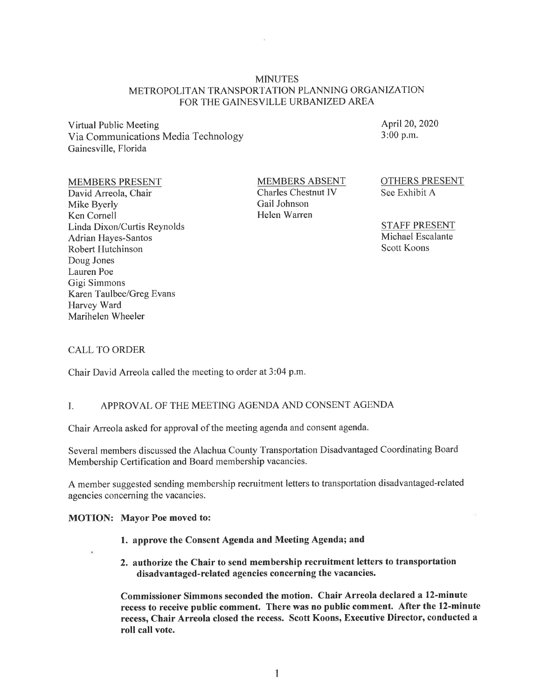## MINUTES METROPOLITAN TRANSPORTATION PLANNING ORGANIZATION FOR THE GAINESVILLE URBANIZED AREA

Virtual Public Meeting Via Communications Media Technology Gainesville, Florida

MEMBERS PRESENT

David Arreola, Chair Mike Byerly Ken Cornell Linda Dixon/Curtis Reynolds Adrian Hayes-Santos Robert Hutchinson Doug Jones Lauren Poe Gigi Simmons Karen Taulbee/Greg Evans Harvey Ward Marihelen Wheeler

MEMBERS ABSENT Charles Chestnut IV Gail Johnson Helen Warren

April 20, 2020 3:00 p.m.

OTHERS PRESENT See Exhibit A

STAFF PRESENT Michael Escalante Scott Koons

## CALL TO ORDER

Chair David Arreola called the meeting to order at 3:04 p.m.

## I. APPROVAL OF THE MEETING AGENDA AND CONSENT AGENDA

Chair Arreola asked for approval of the meeting agenda and consent agenda.

Several members discussed the Alachua County Transportation Disadvantaged Coordinating Board Membership Certification and Board membership vacancies.

A member suggested sending membership recruitment letters to transportation disadvantaged-related agencies concerning the vacancies.

MOTION: Mayor Poe moved to:

- 1. approve the Consent Agenda and Meeting Agenda; and
- 2. authorize the Chair to send membership recruitment letters to transportation disadvantaged-related agencies concerning the vacancies.

Commissioner Simmons seconded the motion. Chair Arreola declared a 12-minute recess to receive public comment. There was no public comment. After the 12-minute recess, Chair Arreola closed the recess. Scott Koons, Executive Director, conducted a roll call vote.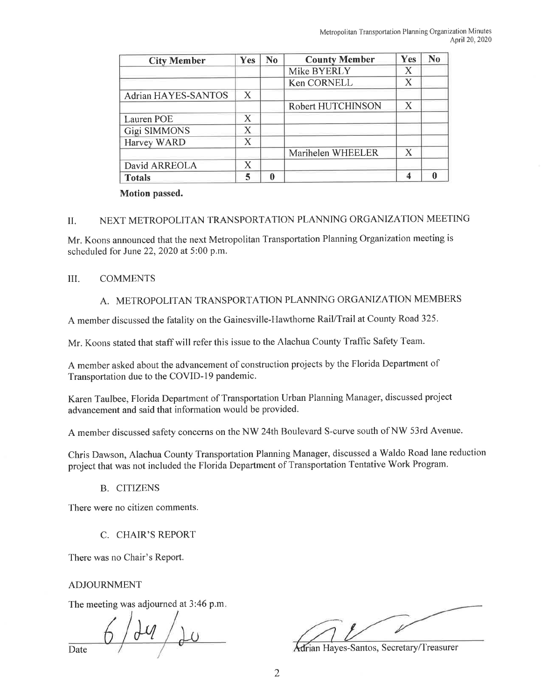| <b>City Member</b>         | <b>Yes</b> | N <sub>o</sub> | <b>County Member</b> | Yes | No |
|----------------------------|------------|----------------|----------------------|-----|----|
|                            |            |                | Mike BYERLY          | X   |    |
|                            |            |                | Ken CORNELL          | X   |    |
| <b>Adrian HAYES-SANTOS</b> | X          |                |                      |     |    |
|                            |            |                | Robert HUTCHINSON    | X   |    |
| Lauren POE                 | X          |                |                      |     |    |
| Gigi SIMMONS               | X          |                |                      |     |    |
| Harvey WARD                | X          |                |                      |     |    |
|                            |            |                | Marihelen WHEELER    | X   |    |
| David ARREOLA              | X          |                |                      |     |    |
| <b>Totals</b>              | 5          | O              |                      |     |    |

Motion passed.

# II. NEXT METROPOLITAN TRANSPORTATION PLANNING ORGANIZATION MEETING

Mr. Koons announced that the next Metropolitan Transportation Planning Organization meeting is scheduled for June 22, 2020 at 5:00 p.m.

## III. COMMENTS

# A. METROPOLITAN TRANSPORTATION PLANNING ORGANIZATION MEMBERS

<sup>A</sup>member discussed the fatality on the Gainesville-Hawthorne Rail/Trail at County Road 325.

Mr. Koons stated that staff will refer this issue to the Alachua County Traffic Safety Team.

<sup>A</sup>member asked about the advancement of construction projects by the Florida Department of Transportation due to the COVID-19 pandemic.

Karen Taulbee, Florida Department of Transportation Urban Planning Manager, discussed project advancement and said that information would be provided.

<sup>A</sup>member discussed safety concerns on the NW 24th Boulevard S-curve south of NW 53rd Avenue.

Chris Dawson, Alachua County Transportation Planning Manager, discussed a Waldo Road lane reduction project that was not included the Florida Department of Transportation Tentative Work Program.

## B. CITIZENS

There were no citizen comments.

C. CHAIR'S REPORT

There was no Chair's Report.

## ADJOURNMENT

The meeting was adjourned at 3:46 p.m.

6 */J»z* I J-D Date

Adrian Hayes-Santos, Secretary/Treasurer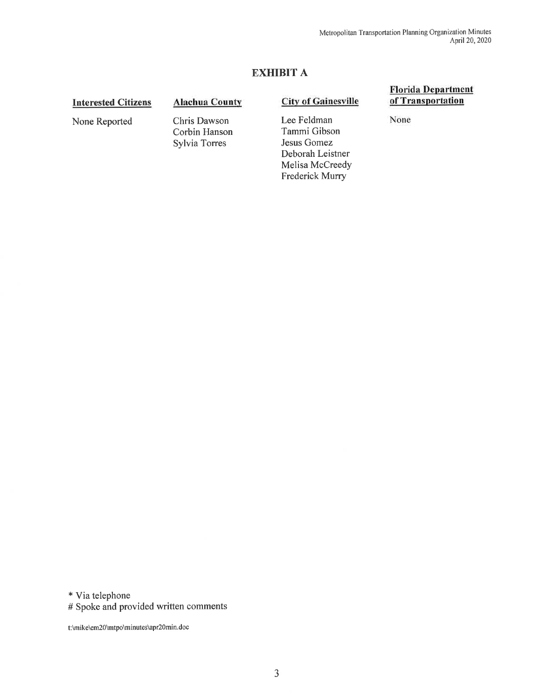# **EXHIBIT A**

# **Interested Citizens**

## **Alachua County**

## **City of Gainesville**

None Reported

Chris Dawson Corbin Hanson Sylvia Torres

## Lee Feldman Tammi Gibson Jesus Gomez Deborah Leistner Melisa Mccreedy Frederick Murry

# **Florida Department of Transportation**

None

\* Via telephone

# Spoke and provided written comments

t:\mike\em20\mtpo\minutes\apr20min.doc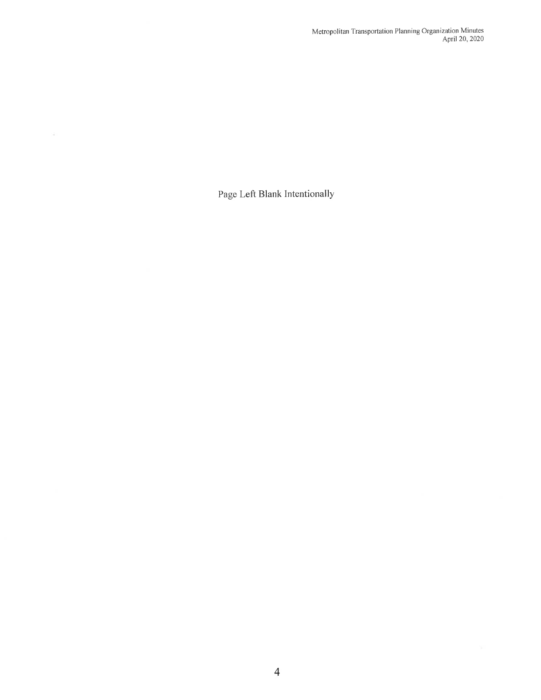Page Left Blank Intentionally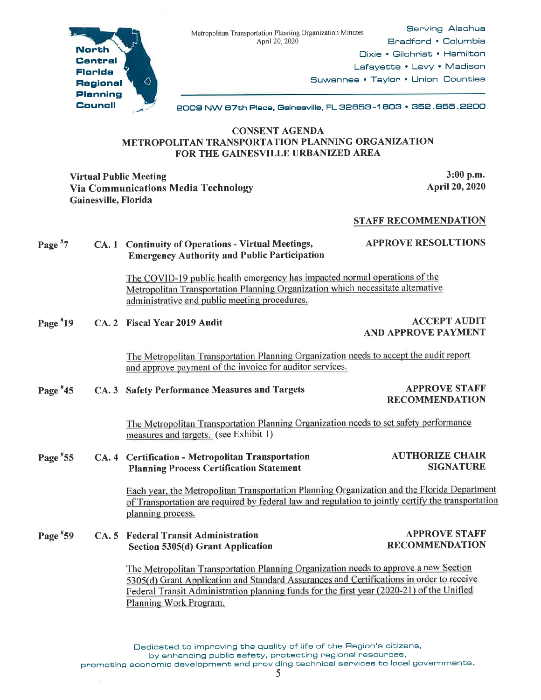

Serving Alachua Bradford • Columbia Dixie • Gilchrist • Hamilton Lafayette • Levy • Madison Suwannee • Taylor • Union Counties

**North Central Florlda**  △ **Regional Planning Council** 

2008 NW B7th Place, Gaineeville, FL 32853-1 803 • 352. 855. 2200

## CONSENT AGENDA METROPOLITAN TRANSPORTATION PLANNING ORGANIZATION FOR THE GAINESVILLE URBANIZED AREA

Virtual Public Meeting 3:00 p.m. Via Communications Media Technology Gainesville, Florida

## STAFF RECOMMENDATION

APPROVE RESOLUTIONS

April 20, 2020

## Page  $*7$ CA. 1 Continuity of Operations - Virtual Meetings, Emergency Authority and Public Participation

The COVID-19 public health emergency has impacted normal operations of the Metropolitan Transportation Planning Organization which necessitate alternative administrative and public meeting procedures.

Page #19 CA. 2 Fiscal Year 2019 Audit ACCEPT AUDIT

# AND APPROVE PAYMENT

The Metropolitan Transportation Planning Organization needs to accept the audit report and approve payment of the invoice for auditor services.

Page #45 CA. 3 Safety Performance Measures and Targets APPROVE STAFF RECOMMENDATION

> The Metropolitan Transportation Planning Organization needs to set safety performance measures and targets. (see Exhibit 1)

#### Page #55 CA. 4 Certification - Metropolitan Transportation Planning Process Certification Statement **AUTHORIZE CHAIR** SIGNATURE

Each year, the Metropolitan Transportation Planning Organization and the Florida Department of Transportation are required by federal law and regulation to jointly certify the transportation planning process.

Page #59 CA. 5 Federal Transit Administration Section 5305(d) Grant Application APPROVE STAFF RECOMMENDATION

> The Metropolitan Transportation Planning Organization needs to approve a new Section 5305(d) Grant Application and Standard Assurances and Certifications in order to receive Federal Transit Administration planning funds for the first year (2020-21) of the Unified Planning Work Program.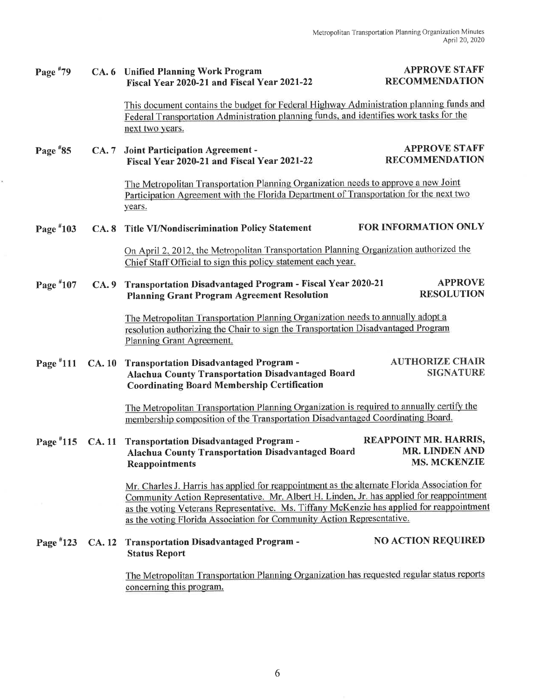## Page #79 CA. 6 Unified Planning Work Program Fiscal Year 2020-21 and Fiscal Year 2021-22

## APPROVE STAFF RECOMMENDATION

SIGNATURE

This document contains the budget for Federal Highway Administration planning funds and Federal Transportation Administration planning funds, and identifies work tasks for the next two years.

## Page #85 CA. 7 Joint Participation Agreement - Fiscal Year 2020-21 and Fiscal Year 2021-22 APPROVE STAFF RECOMMENDATION The Metropolitan Transportation Planning Organization needs to approve a new Joint

Participation Agreement with the Florida Department of Transportation for the next two years.

### Page #103 CA. 8 Title VI/Nondiscrimination Policy Statement FOR INFORMATION ONLY

On April 2, 2012, the Metropolitan Transportation Planning Organization authorized the Chief Staff Official to sign this policy statement each year.

#### Page #107 CA. 9 Transportation Disadvantaged Program - Fiscal Year 2020-21 Planning Grant Program Agreement Resolution APPROVE RESOLUTION

The Metropolitan Transportation Planning Organization needs to annually adopt a resolution authorizing the Chair to sign the Transportation Disadvantaged Program Planning Grant Agreement.

## Page #111 CA. 10 Transportation Disadvantaged Program - AUTHORIZE CHAIR Alachua County Transportation Disadvantaged Board Coordinating Board Membership Certification

The Metropolitan Transportation Planning Organization is required to annually certify the membership composition of the Transportation Disadvantaged Coordinating Board.

#### Page #115 CA. 11 Transportation Disadvantaged Program - Alachua County Transportation Disadvantaged Board Reappointments REAPPOINT MR. HARRIS, MR. LINDEN AND MS. MCKENZIE

Mr. Charles J. Harris has applied for reappointment as the alternate Florida <sup>A</sup>sociation for Community Action Representative. Mr. Albert H. Linden, Jr. has applied for reappointment as the voting Veterans Representative. Ms. Tiffany McKenzie has applied for reappointment as the voting Florida Association for Community Action Representative.

## Page #123 CA. 12 Transportation Disadvantaged Program - Status Report NO ACTION REQUIRED

The Metropolitan Transportation Planning Organization has requested regular status reports concerning this program.